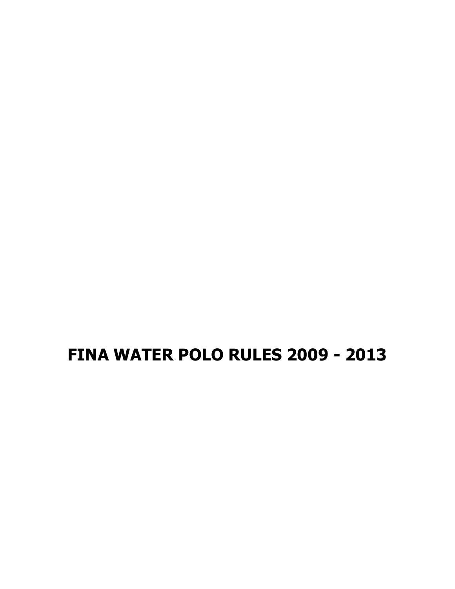**FINA WATER POLO RULES 2009 - 2013**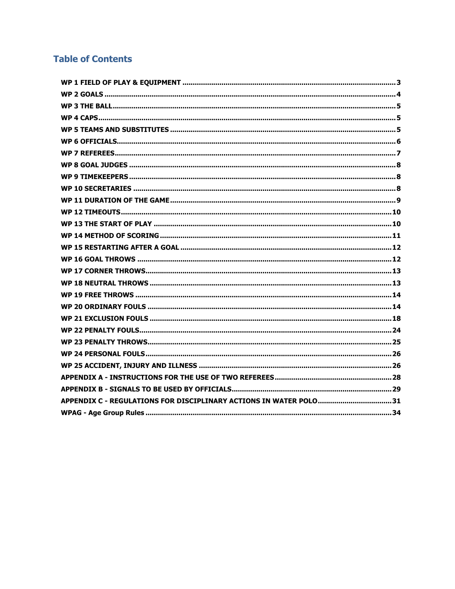# **Table of Contents**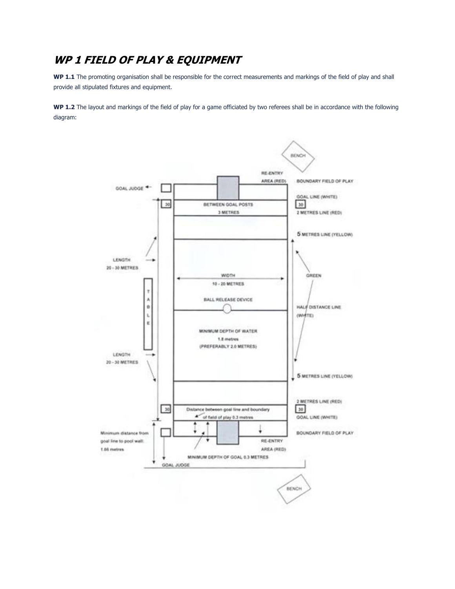# <span id="page-2-0"></span>**WP 1 FIELD OF PLAY & EQUIPMENT**

**WP 1.1** The promoting organisation shall be responsible for the correct measurements and markings of the field of play and shall provide all stipulated fixtures and equipment.

**WP 1.2** The layout and markings of the field of play for a game officiated by two referees shall be in accordance with the following diagram:

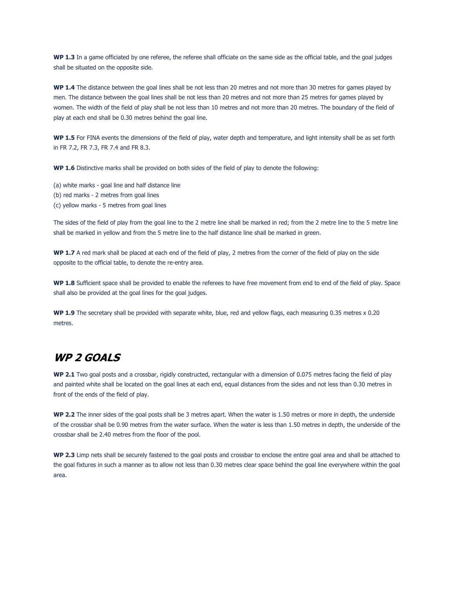**WP 1.3** In a game officiated by one referee, the referee shall officiate on the same side as the official table, and the goal judges shall be situated on the opposite side.

**WP 1.4** The distance between the goal lines shall be not less than 20 metres and not more than 30 metres for games played by men. The distance between the goal lines shall be not less than 20 metres and not more than 25 metres for games played by women. The width of the field of play shall be not less than 10 metres and not more than 20 metres. The boundary of the field of play at each end shall be 0.30 metres behind the goal line.

**WP 1.5** For FINA events the dimensions of the field of play, water depth and temperature, and light intensity shall be as set forth in FR 7.2, FR 7.3, FR 7.4 and FR 8.3.

**WP 1.6** Distinctive marks shall be provided on both sides of the field of play to denote the following:

- (a) white marks goal line and half distance line
- (b) red marks 2 metres from goal lines
- (c) yellow marks 5 metres from goal lines

The sides of the field of play from the goal line to the 2 metre line shall be marked in red; from the 2 metre line to the 5 metre line shall be marked in yellow and from the 5 metre line to the half distance line shall be marked in green.

**WP 1.7** A red mark shall be placed at each end of the field of play, 2 metres from the corner of the field of play on the side opposite to the official table, to denote the re-entry area.

**WP 1.8** Sufficient space shall be provided to enable the referees to have free movement from end to end of the field of play. Space shall also be provided at the goal lines for the goal judges.

**WP 1.9** The secretary shall be provided with separate white, blue, red and yellow flags, each measuring 0.35 metres x 0.20 metres.

# <span id="page-3-0"></span>**WP 2 GOALS**

**WP 2.1** Two goal posts and a crossbar, rigidly constructed, rectangular with a dimension of 0.075 metres facing the field of play and painted white shall be located on the goal lines at each end, equal distances from the sides and not less than 0.30 metres in front of the ends of the field of play.

**WP 2.2** The inner sides of the goal posts shall be 3 metres apart. When the water is 1.50 metres or more in depth, the underside of the crossbar shall be 0.90 metres from the water surface. When the water is less than 1.50 metres in depth, the underside of the crossbar shall be 2.40 metres from the floor of the pool.

**WP 2.3** Limp nets shall be securely fastened to the goal posts and crossbar to enclose the entire goal area and shall be attached to the goal fixtures in such a manner as to allow not less than 0.30 metres clear space behind the goal line everywhere within the goal area.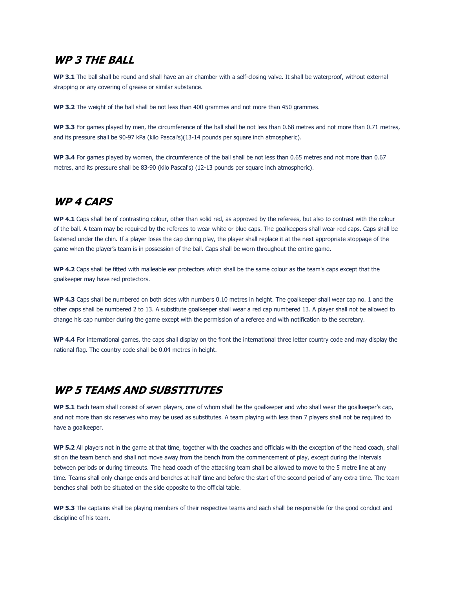# <span id="page-4-0"></span>**WP 3 THE BALL**

**WP 3.1** The ball shall be round and shall have an air chamber with a self-closing valve. It shall be waterproof, without external strapping or any covering of grease or similar substance.

**WP 3.2** The weight of the ball shall be not less than 400 grammes and not more than 450 grammes.

**WP 3.3** For games played by men, the circumference of the ball shall be not less than 0.68 metres and not more than 0.71 metres, and its pressure shall be 90-97 kPa (kilo Pascal's)(13-14 pounds per square inch atmospheric).

**WP 3.4** For games played by women, the circumference of the ball shall be not less than 0.65 metres and not more than 0.67 metres, and its pressure shall be 83-90 (kilo Pascal's) (12-13 pounds per square inch atmospheric).

# <span id="page-4-1"></span>**WP 4 CAPS**

**WP 4.1** Caps shall be of contrasting colour, other than solid red, as approved by the referees, but also to contrast with the colour of the ball. A team may be required by the referees to wear white or blue caps. The goalkeepers shall wear red caps. Caps shall be fastened under the chin. If a player loses the cap during play, the player shall replace it at the next appropriate stoppage of the game when the player's team is in possession of the ball. Caps shall be worn throughout the entire game.

**WP 4.2** Caps shall be fitted with malleable ear protectors which shall be the same colour as the team's caps except that the goalkeeper may have red protectors.

**WP 4.3** Caps shall be numbered on both sides with numbers 0.10 metres in height. The goalkeeper shall wear cap no. 1 and the other caps shall be numbered 2 to 13. A substitute goalkeeper shall wear a red cap numbered 13. A player shall not be allowed to change his cap number during the game except with the permission of a referee and with notification to the secretary.

**WP 4.4** For international games, the caps shall display on the front the international three letter country code and may display the national flag. The country code shall be 0.04 metres in height.

### <span id="page-4-2"></span>**WP 5 TEAMS AND SUBSTITUTES**

**WP 5.1** Each team shall consist of seven players, one of whom shall be the goalkeeper and who shall wear the goalkeeper's cap, and not more than six reserves who may be used as substitutes. A team playing with less than 7 players shall not be required to have a goalkeeper.

**WP 5.2** All players not in the game at that time, together with the coaches and officials with the exception of the head coach, shall sit on the team bench and shall not move away from the bench from the commencement of play, except during the intervals between periods or during timeouts. The head coach of the attacking team shall be allowed to move to the 5 metre line at any time. Teams shall only change ends and benches at half time and before the start of the second period of any extra time. The team benches shall both be situated on the side opposite to the official table.

**WP 5.3** The captains shall be playing members of their respective teams and each shall be responsible for the good conduct and discipline of his team.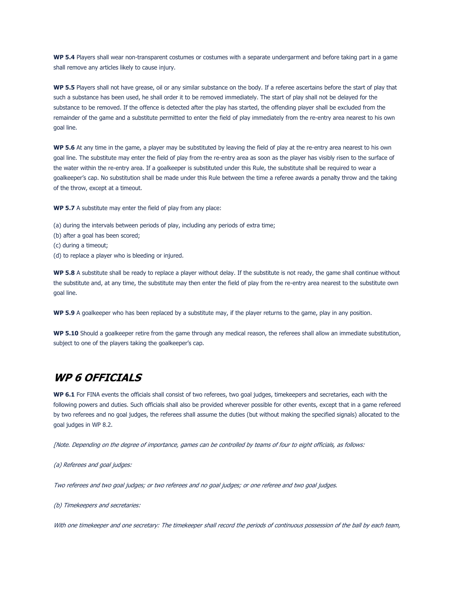**WP 5.4** Players shall wear non-transparent costumes or costumes with a separate undergarment and before taking part in a game shall remove any articles likely to cause injury.

**WP 5.5** Players shall not have grease, oil or any similar substance on the body. If a referee ascertains before the start of play that such a substance has been used, he shall order it to be removed immediately. The start of play shall not be delayed for the substance to be removed. If the offence is detected after the play has started, the offending player shall be excluded from the remainder of the game and a substitute permitted to enter the field of play immediately from the re-entry area nearest to his own goal line.

**WP 5.6** At any time in the game, a player may be substituted by leaving the field of play at the re-entry area nearest to his own goal line. The substitute may enter the field of play from the re-entry area as soon as the player has visibly risen to the surface of the water within the re-entry area. If a goalkeeper is substituted under this Rule, the substitute shall be required to wear a goalkeeper's cap. No substitution shall be made under this Rule between the time a referee awards a penalty throw and the taking of the throw, except at a timeout.

**WP 5.7** A substitute may enter the field of play from any place:

(a) during the intervals between periods of play, including any periods of extra time;

- (b) after a goal has been scored;
- (c) during a timeout;
- (d) to replace a player who is bleeding or injured.

**WP 5.8** A substitute shall be ready to replace a player without delay. If the substitute is not ready, the game shall continue without the substitute and, at any time, the substitute may then enter the field of play from the re-entry area nearest to the substitute own goal line.

**WP 5.9** A goalkeeper who has been replaced by a substitute may, if the player returns to the game, play in any position.

**WP 5.10** Should a goalkeeper retire from the game through any medical reason, the referees shall allow an immediate substitution, subject to one of the players taking the goalkeeper's cap.

### <span id="page-5-0"></span>**WP 6 OFFICIALS**

**WP 6.1** For FINA events the officials shall consist of two referees, two goal judges, timekeepers and secretaries, each with the following powers and duties. Such officials shall also be provided wherever possible for other events, except that in a game refereed by two referees and no goal judges, the referees shall assume the duties (but without making the specified signals) allocated to the goal judges in WP 8.2.

[Note. Depending on the degree of importance, games can be controlled by teams of four to eight officials, as follows:

(a) Referees and goal judges:

Two referees and two goal judges; or two referees and no goal judges; or one referee and two goal judges.

(b) Timekeepers and secretaries:

With one timekeeper and one secretary: The timekeeper shall record the periods of continuous possession of the ball by each team,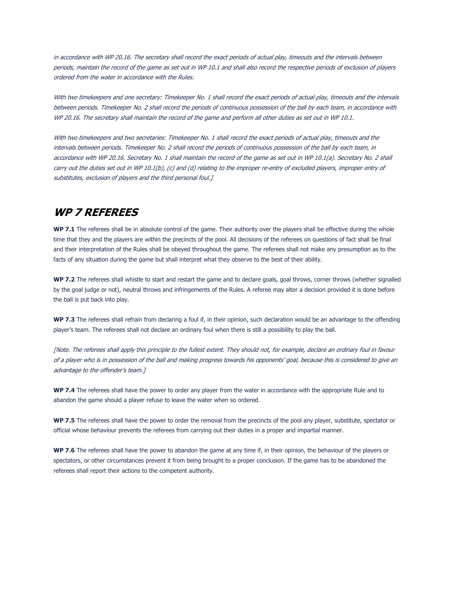in accordance with WP 20.16. The secretary shall record the exact periods of actual play, timeouts and the intervals between periods, maintain the record of the game as set out in WP 10.1 and shall also record the respective periods of exclusion of players ordered from the water in accordance with the Rules.

With two timekeepers and one secretary: Timekeeper No. 1 shall record the exact periods of actual play, timeouts and the intervals between periods. Timekeeper No. 2 shall record the periods of continuous possession of the ball by each team, in accordance with WP 20.16. The secretary shall maintain the record of the game and perform all other duties as set out in WP 10.1.

With two timekeepers and two secretaries: Timekeeper No. 1 shall record the exact periods of actual play, timeouts and the intervals between periods. Timekeeper No. 2 shall record the periods of continuous possession of the ball by each team, in accordance with WP 20.16. Secretary No. 1 shall maintain the record of the game as set out in WP 10.1(a). Secretary No. 2 shall carry out the duties set out in WP 10.1(b), (c) and (d) relating to the improper re-entry of excluded players, improper entry of substitutes, exclusion of players and the third personal foul.]

# <span id="page-6-0"></span>**WP 7 REFEREES**

**WP 7.1** The referees shall be in absolute control of the game. Their authority over the players shall be effective during the whole time that they and the players are within the precincts of the pool. All decisions of the referees on questions of fact shall be final and their interpretation of the Rules shall be obeyed throughout the game. The referees shall not make any presumption as to the facts of any situation during the game but shall interpret what they observe to the best of their ability.

WP 7.2 The referees shall whistle to start and restart the game and to declare goals, goal throws, corner throws (whether signalled by the goal judge or not), neutral throws and infringements of the Rules. A referee may alter a decision provided it is done before the ball is put back into play.

**WP 7.3** The referees shall refrain from declaring a foul if, in their opinion, such declaration would be an advantage to the offending player's team. The referees shall not declare an ordinary foul when there is still a possibility to play the ball.

[Note. The referees shall apply this principle to the fullest extent. They should not, for example, declare an ordinary foul in favour of a player who is in possession of the ball and making progress towards his opponents' goal, because this is considered to give an advantage to the offender's team.]

**WP 7.4** The referees shall have the power to order any player from the water in accordance with the appropriate Rule and to abandon the game should a player refuse to leave the water when so ordered.

WP 7.5 The referees shall have the power to order the removal from the precincts of the pool any player, substitute, spectator or official whose behaviour prevents the referees from carrying out their duties in a proper and impartial manner.

**WP 7.6** The referees shall have the power to abandon the game at any time if, in their opinion, the behaviour of the players or spectators, or other circumstances prevent it from being brought to a proper conclusion. If the game has to be abandoned the referees shall report their actions to the competent authority.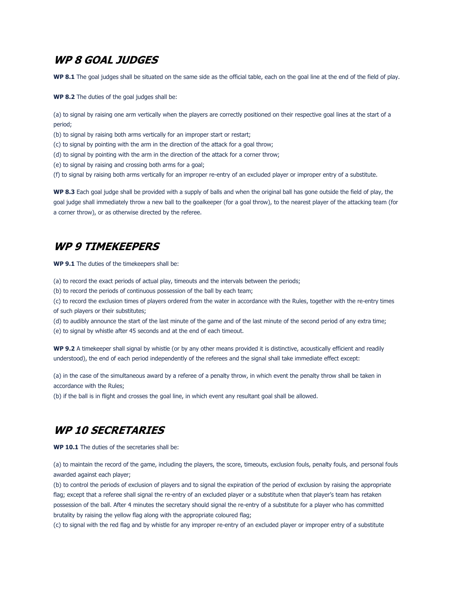# <span id="page-7-0"></span>**WP 8 GOAL JUDGES**

**WP 8.1** The goal judges shall be situated on the same side as the official table, each on the goal line at the end of the field of play.

**WP 8.2** The duties of the goal judges shall be:

(a) to signal by raising one arm vertically when the players are correctly positioned on their respective goal lines at the start of a period;

(b) to signal by raising both arms vertically for an improper start or restart;

(c) to signal by pointing with the arm in the direction of the attack for a goal throw;

(d) to signal by pointing with the arm in the direction of the attack for a corner throw;

(e) to signal by raising and crossing both arms for a goal;

(f) to signal by raising both arms vertically for an improper re-entry of an excluded player or improper entry of a substitute.

**WP 8.3** Each goal judge shall be provided with a supply of balls and when the original ball has gone outside the field of play, the goal judge shall immediately throw a new ball to the goalkeeper (for a goal throw), to the nearest player of the attacking team (for a corner throw), or as otherwise directed by the referee.

# <span id="page-7-1"></span>**WP 9 TIMEKEEPERS**

**WP 9.1** The duties of the timekeepers shall be:

(a) to record the exact periods of actual play, timeouts and the intervals between the periods;

(b) to record the periods of continuous possession of the ball by each team;

(c) to record the exclusion times of players ordered from the water in accordance with the Rules, together with the re-entry times of such players or their substitutes;

(d) to audibly announce the start of the last minute of the game and of the last minute of the second period of any extra time; (e) to signal by whistle after 45 seconds and at the end of each timeout.

**WP 9.2** A timekeeper shall signal by whistle (or by any other means provided it is distinctive, acoustically efficient and readily understood), the end of each period independently of the referees and the signal shall take immediate effect except:

(a) in the case of the simultaneous award by a referee of a penalty throw, in which event the penalty throw shall be taken in accordance with the Rules;

(b) if the ball is in flight and crosses the goal line, in which event any resultant goal shall be allowed.

# <span id="page-7-2"></span>**WP 10 SECRETARIES**

**WP 10.1** The duties of the secretaries shall be:

(a) to maintain the record of the game, including the players, the score, timeouts, exclusion fouls, penalty fouls, and personal fouls awarded against each player;

(b) to control the periods of exclusion of players and to signal the expiration of the period of exclusion by raising the appropriate flag; except that a referee shall signal the re-entry of an excluded player or a substitute when that player's team has retaken possession of the ball. After 4 minutes the secretary should signal the re-entry of a substitute for a player who has committed brutality by raising the yellow flag along with the appropriate coloured flag;

(c) to signal with the red flag and by whistle for any improper re-entry of an excluded player or improper entry of a substitute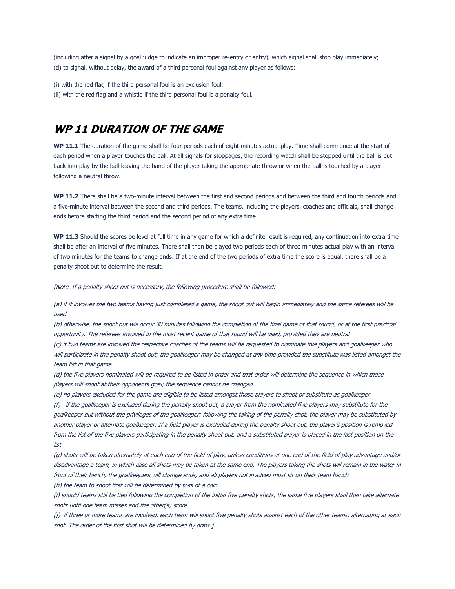(including after a signal by a goal judge to indicate an improper re-entry or entry), which signal shall stop play immediately; (d) to signal, without delay, the award of a third personal foul against any player as follows:

- (i) with the red flag if the third personal foul is an exclusion foul;
- (ii) with the red flag and a whistle if the third personal foul is a penalty foul.

### <span id="page-8-0"></span>**WP 11 DURATION OF THE GAME**

**WP 11.1** The duration of the game shall be four periods each of eight minutes actual play. Time shall commence at the start of each period when a player touches the ball. At all signals for stoppages, the recording watch shall be stopped until the ball is put back into play by the ball leaving the hand of the player taking the appropriate throw or when the ball is touched by a player following a neutral throw.

**WP 11.2** There shall be a two-minute interval between the first and second periods and between the third and fourth periods and a five-minute interval between the second and third periods. The teams, including the players, coaches and officials, shall change ends before starting the third period and the second period of any extra time.

**WP 11.3** Should the scores be level at full time in any game for which a definite result is required, any continuation into extra time shall be after an interval of five minutes. There shall then be played two periods each of three minutes actual play with an interval of two minutes for the teams to change ends. If at the end of the two periods of extra time the score is equal, there shall be a penalty shoot out to determine the result.

[Note. If a penalty shoot out is necessary, the following procedure shall be followed:

(a) if it involves the two teams having just completed a game, the shoot out will begin immediately and the same referees will be used

(b) otherwise, the shoot out will occur 30 minutes following the completion of the final game of that round, or at the first practical opportunity. The referees involved in the most recent game of that round will be used, provided they are neutral

(c) if two teams are involved the respective coaches of the teams will be requested to nominate five players and goalkeeper who will participate in the penalty shoot out; the goalkeeper may be changed at any time provided the substitute was listed amongst the team list in that game

(d) the five players nominated will be required to be listed in order and that order will determine the sequence in which those players will shoot at their opponents goal; the sequence cannot be changed

(e) no players excluded for the game are eligible to be listed amongst those players to shoot or substitute as goalkeeper

(f) if the goalkeeper is excluded during the penalty shoot out, a player from the nominated five players may substitute for the goalkeeper but without the privileges of the goalkeeper; following the taking of the penalty shot, the player may be substituted by another player or alternate goalkeeper. If a field player is excluded during the penalty shoot out, the player's position is removed from the list of the five players participating in the penalty shoot out, and a substituted player is placed in the last position on the list

(g) shots will be taken alternately at each end of the field of play, unless conditions at one end of the field of play advantage and/or disadvantage a team, in which case all shots may be taken at the same end. The players taking the shots will remain in the water in front of their bench, the goalkeepers will change ends, and all players not involved must sit on their team bench (h) the team to shoot first will be determined by toss of a coin

(i) should teams still be tied following the completion of the initial five penalty shots, the same five players shall then take alternate shots until one team misses and the other(s) score

(j) if three or more teams are involved, each team will shoot five penalty shots against each of the other teams, alternating at each shot. The order of the first shot will be determined by draw.]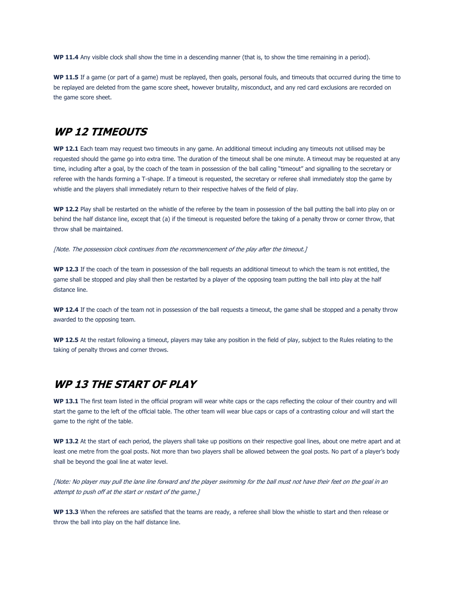**WP 11.4** Any visible clock shall show the time in a descending manner (that is, to show the time remaining in a period).

**WP 11.5** If a game (or part of a game) must be replayed, then goals, personal fouls, and timeouts that occurred during the time to be replayed are deleted from the game score sheet, however brutality, misconduct, and any red card exclusions are recorded on the game score sheet.

### <span id="page-9-0"></span>**WP 12 TIMEOUTS**

**WP 12.1** Each team may request two timeouts in any game. An additional timeout including any timeouts not utilised may be requested should the game go into extra time. The duration of the timeout shall be one minute. A timeout may be requested at any time, including after a goal, by the coach of the team in possession of the ball calling "timeout" and signalling to the secretary or referee with the hands forming a T-shape. If a timeout is requested, the secretary or referee shall immediately stop the game by whistle and the players shall immediately return to their respective halves of the field of play.

**WP 12.2** Play shall be restarted on the whistle of the referee by the team in possession of the ball putting the ball into play on or behind the half distance line, except that (a) if the timeout is requested before the taking of a penalty throw or corner throw, that throw shall be maintained.

[Note. The possession clock continues from the recommencement of the play after the timeout.]

**WP 12.3** If the coach of the team in possession of the ball requests an additional timeout to which the team is not entitled, the game shall be stopped and play shall then be restarted by a player of the opposing team putting the ball into play at the half distance line.

WP 12.4 If the coach of the team not in possession of the ball requests a timeout, the game shall be stopped and a penalty throw awarded to the opposing team.

**WP 12.5** At the restart following a timeout, players may take any position in the field of play, subject to the Rules relating to the taking of penalty throws and corner throws.

#### <span id="page-9-1"></span>**WP 13 THE START OF PLAY**

WP 13.1 The first team listed in the official program will wear white caps or the caps reflecting the colour of their country and will start the game to the left of the official table. The other team will wear blue caps or caps of a contrasting colour and will start the game to the right of the table.

**WP 13.2** At the start of each period, the players shall take up positions on their respective goal lines, about one metre apart and at least one metre from the goal posts. Not more than two players shall be allowed between the goal posts. No part of a player's body shall be beyond the goal line at water level.

[Note: No player may pull the lane line forward and the player swimming for the ball must not have their feet on the goal in an attempt to push off at the start or restart of the game.]

**WP 13.3** When the referees are satisfied that the teams are ready, a referee shall blow the whistle to start and then release or throw the ball into play on the half distance line.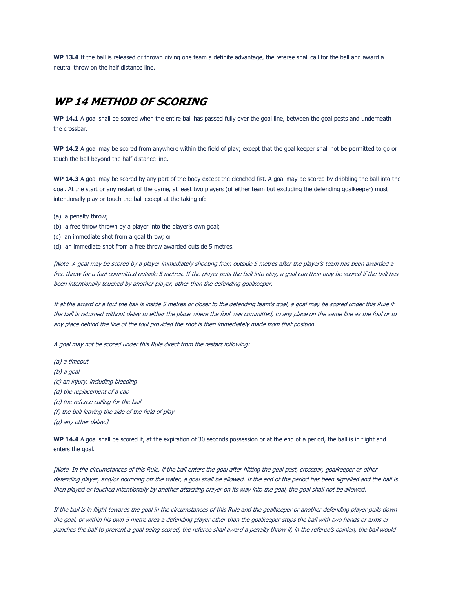**WP 13.4** If the ball is released or thrown giving one team a definite advantage, the referee shall call for the ball and award a neutral throw on the half distance line.

# <span id="page-10-0"></span>**WP 14 METHOD OF SCORING**

WP 14.1 A goal shall be scored when the entire ball has passed fully over the goal line, between the goal posts and underneath the crossbar.

**WP 14.2** A goal may be scored from anywhere within the field of play; except that the goal keeper shall not be permitted to go or touch the ball beyond the half distance line.

**WP 14.3** A goal may be scored by any part of the body except the clenched fist. A goal may be scored by dribbling the ball into the goal. At the start or any restart of the game, at least two players (of either team but excluding the defending goalkeeper) must intentionally play or touch the ball except at the taking of:

- (a) a penalty throw;
- (b) a free throw thrown by a player into the player's own goal;
- (c) an immediate shot from a goal throw; or
- (d) an immediate shot from a free throw awarded outside 5 metres.

[Note. A goal may be scored by a player immediately shooting from outside 5 metres after the player's team has been awarded a free throw for a foul committed outside 5 metres. If the player puts the ball into play, a goal can then only be scored if the ball has been intentionally touched by another player, other than the defending goalkeeper.

If at the award of a foul the ball is inside 5 metres or closer to the defending team's goal, a goal may be scored under this Rule if the ball is returned without delay to either the place where the foul was committed, to any place on the same line as the foul or to any place behind the line of the foul provided the shot is then immediately made from that position.

A goal may not be scored under this Rule direct from the restart following:

(a) a timeout (b) a goal (c) an injury, including bleeding (d) the replacement of a cap (e) the referee calling for the ball (f) the ball leaving the side of the field of play (g) any other delay.]

**WP 14.4** A goal shall be scored if, at the expiration of 30 seconds possession or at the end of a period, the ball is in flight and enters the goal.

[Note. In the circumstances of this Rule, if the ball enters the goal after hitting the goal post, crossbar, goalkeeper or other defending player, and/or bouncing off the water, a goal shall be allowed. If the end of the period has been signalled and the ball is then played or touched intentionally by another attacking player on its way into the goal, the goal shall not be allowed.

If the ball is in flight towards the goal in the circumstances of this Rule and the goalkeeper or another defending player pulls down the goal, or within his own 5 metre area a defending player other than the goalkeeper stops the ball with two hands or arms or punches the ball to prevent a goal being scored, the referee shall award a penalty throw if, in the referee's opinion, the ball would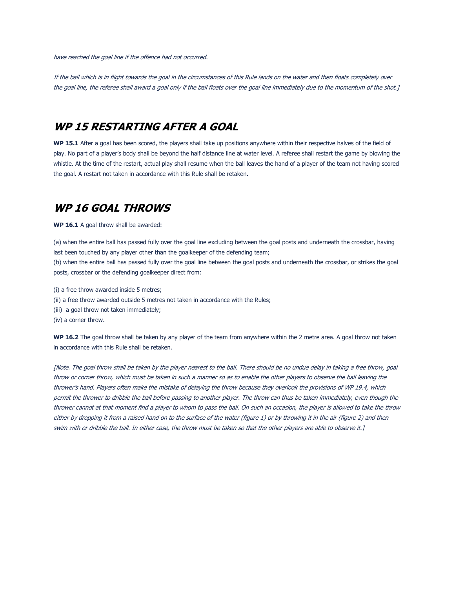have reached the goal line if the offence had not occurred.

If the ball which is in flight towards the goal in the circumstances of this Rule lands on the water and then floats completely over the goal line, the referee shall award a goal only if the ball floats over the goal line immediately due to the momentum of the shot.]

### <span id="page-11-0"></span>**WP 15 RESTARTING AFTER A GOAL**

**WP 15.1** After a goal has been scored, the players shall take up positions anywhere within their respective halves of the field of play. No part of a player's body shall be beyond the half distance line at water level. A referee shall restart the game by blowing the whistle. At the time of the restart, actual play shall resume when the ball leaves the hand of a player of the team not having scored the goal. A restart not taken in accordance with this Rule shall be retaken.

# <span id="page-11-1"></span>**WP 16 GOAL THROWS**

**WP 16.1** A goal throw shall be awarded:

(a) when the entire ball has passed fully over the goal line excluding between the goal posts and underneath the crossbar, having last been touched by any player other than the goalkeeper of the defending team;

(b) when the entire ball has passed fully over the goal line between the goal posts and underneath the crossbar, or strikes the goal posts, crossbar or the defending goalkeeper direct from:

- (i) a free throw awarded inside 5 metres;
- (ii) a free throw awarded outside 5 metres not taken in accordance with the Rules;
- (iii) a goal throw not taken immediately;
- (iv) a corner throw.

**WP 16.2** The goal throw shall be taken by any player of the team from anywhere within the 2 metre area. A goal throw not taken in accordance with this Rule shall be retaken.

[Note. The goal throw shall be taken by the player nearest to the ball. There should be no undue delay in taking a free throw, goal throw or corner throw, which must be taken in such a manner so as to enable the other players to observe the ball leaving the thrower's hand. Players often make the mistake of delaying the throw because they overlook the provisions of WP 19.4, which permit the thrower to dribble the ball before passing to another player. The throw can thus be taken immediately, even though the thrower cannot at that moment find a player to whom to pass the ball. On such an occasion, the player is allowed to take the throw either by dropping it from a raised hand on to the surface of the water (figure 1) or by throwing it in the air (figure 2) and then swim with or dribble the ball. In either case, the throw must be taken so that the other players are able to observe it.]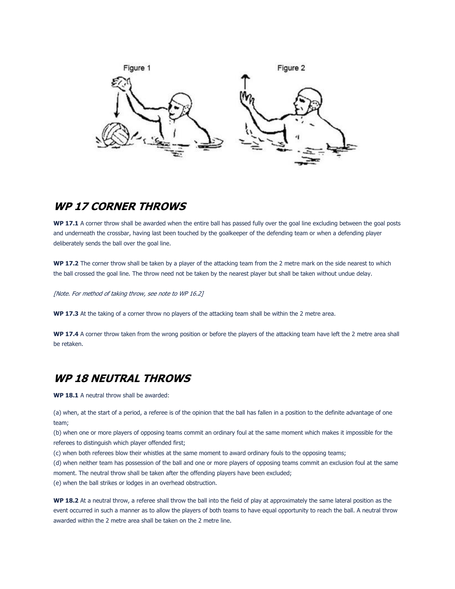

### <span id="page-12-0"></span>**WP 17 CORNER THROWS**

**WP 17.1** A corner throw shall be awarded when the entire ball has passed fully over the goal line excluding between the goal posts and underneath the crossbar, having last been touched by the goalkeeper of the defending team or when a defending player deliberately sends the ball over the goal line.

**WP 17.2** The corner throw shall be taken by a player of the attacking team from the 2 metre mark on the side nearest to which the ball crossed the goal line. The throw need not be taken by the nearest player but shall be taken without undue delay.

[Note. For method of taking throw, see note to WP 16.2]

**WP 17.3** At the taking of a corner throw no players of the attacking team shall be within the 2 metre area.

**WP 17.4** A corner throw taken from the wrong position or before the players of the attacking team have left the 2 metre area shall be retaken.

### <span id="page-12-1"></span>**WP 18 NEUTRAL THROWS**

**WP 18.1** A neutral throw shall be awarded:

(a) when, at the start of a period, a referee is of the opinion that the ball has fallen in a position to the definite advantage of one team;

(b) when one or more players of opposing teams commit an ordinary foul at the same moment which makes it impossible for the referees to distinguish which player offended first;

(c) when both referees blow their whistles at the same moment to award ordinary fouls to the opposing teams;

(d) when neither team has possession of the ball and one or more players of opposing teams commit an exclusion foul at the same moment. The neutral throw shall be taken after the offending players have been excluded;

(e) when the ball strikes or lodges in an overhead obstruction.

**WP 18.2** At a neutral throw, a referee shall throw the ball into the field of play at approximately the same lateral position as the event occurred in such a manner as to allow the players of both teams to have equal opportunity to reach the ball. A neutral throw awarded within the 2 metre area shall be taken on the 2 metre line.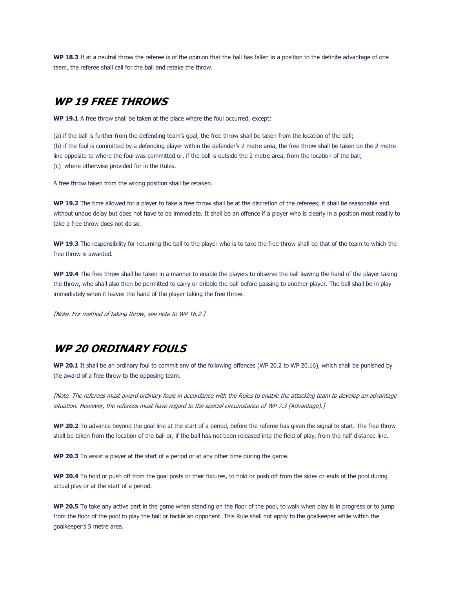**WP 18.3** If at a neutral throw the referee is of the opinion that the ball has fallen in a position to the definite advantage of one team, the referee shall call for the ball and retake the throw.

## <span id="page-13-0"></span>**WP 19 FREE THROWS**

**WP 19.1** A free throw shall be taken at the place where the foul occurred, except:

(a) if the ball is further from the defending team's goal, the free throw shall be taken from the location of the ball; (b) if the foul is committed by a defending player within the defender's 2 metre area, the free throw shall be taken on the 2 metre line opposite to where the foul was committed or, if the ball is outside the 2 metre area, from the location of the ball; (c) where otherwise provided for in the Rules.

A free throw taken from the wrong position shall be retaken.

WP 19.2 The time allowed for a player to take a free throw shall be at the discretion of the referees; it shall be reasonable and without undue delay but does not have to be immediate. It shall be an offence if a player who is clearly in a position most readily to take a free throw does not do so.

**WP 19.3** The responsibility for returning the ball to the player who is to take the free throw shall be that of the team to which the free throw is awarded.

**WP 19.4** The free throw shall be taken in a manner to enable the players to observe the ball leaving the hand of the player taking the throw, who shall also then be permitted to carry or dribble the ball before passing to another player. The ball shall be in play immediately when it leaves the hand of the player taking the free throw.

[Note. For method of taking throw, see note to WP 16.2.]

### <span id="page-13-1"></span>**WP 20 ORDINARY FOULS**

**WP 20.1** It shall be an ordinary foul to commit any of the following offences (WP 20.2 to WP 20.16), which shall be punished by the award of a free throw to the opposing team.

[Note. The referees must award ordinary fouls in accordance with the Rules to enable the attacking team to develop an advantage situation. However, the referees must have regard to the special circumstance of WP 7.3 (Advantage).]

**WP 20.2** To advance beyond the goal line at the start of a period, before the referee has given the signal to start. The free throw shall be taken from the location of the ball or, if the ball has not been released into the field of play, from the half distance line.

**WP 20.3** To assist a player at the start of a period or at any other time during the game.

**WP 20.4** To hold or push off from the goal posts or their fixtures, to hold or push off from the sides or ends of the pool during actual play or at the start of a period.

**WP 20.5** To take any active part in the game when standing on the floor of the pool, to walk when play is in progress or to jump from the floor of the pool to play the ball or tackle an opponent. This Rule shall not apply to the goalkeeper while within the goalkeeper's 5 metre area.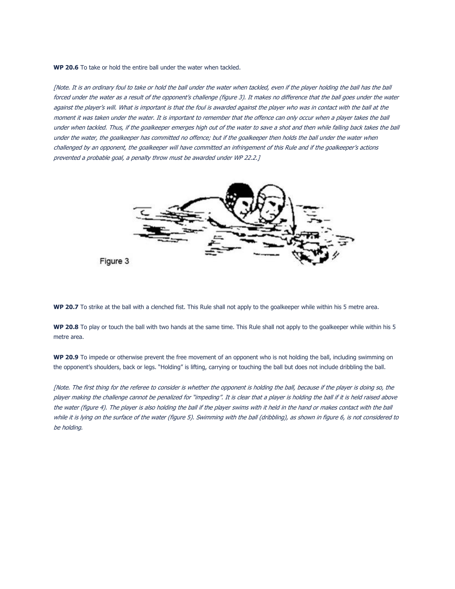**WP 20.6** To take or hold the entire ball under the water when tackled.

[Note. It is an ordinary foul to take or hold the ball under the water when tackled, even if the player holding the ball has the ball forced under the water as a result of the opponent's challenge (figure 3). It makes no difference that the ball goes under the water against the player's will. What is important is that the foul is awarded against the player who was in contact with the ball at the moment it was taken under the water. It is important to remember that the offence can only occur when a player takes the ball under when tackled. Thus, if the goalkeeper emerges high out of the water to save a shot and then while falling back takes the ball under the water, the goalkeeper has committed no offence; but if the goalkeeper then holds the ball under the water when challenged by an opponent, the goalkeeper will have committed an infringement of this Rule and if the goalkeeper's actions prevented a probable goal, a penalty throw must be awarded under WP 22.2.]



**WP 20.7** To strike at the ball with a clenched fist. This Rule shall not apply to the goalkeeper while within his 5 metre area.

WP 20.8 To play or touch the ball with two hands at the same time. This Rule shall not apply to the goalkeeper while within his 5 metre area.

**WP 20.9** To impede or otherwise prevent the free movement of an opponent who is not holding the ball, including swimming on the opponent's shoulders, back or legs. "Holding" is lifting, carrying or touching the ball but does not include dribbling the ball.

[Note. The first thing for the referee to consider is whether the opponent is holding the ball, because if the player is doing so, the player making the challenge cannot be penalized for "impeding". It is clear that a player is holding the ball if it is held raised above the water (figure 4). The player is also holding the ball if the player swims with it held in the hand or makes contact with the ball while it is lying on the surface of the water (figure 5). Swimming with the ball (dribbling), as shown in figure 6, is not considered to be holding.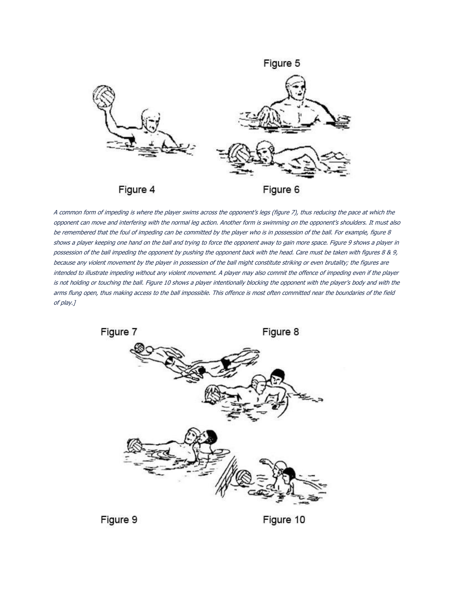

A common form of impeding is where the player swims across the opponent's legs (figure 7), thus reducing the pace at which th<sup>e</sup> opponent can move and interfering with the normal leg action. Another form is swimming on the opponent's shoulders. It must also be remembered that the foul of impeding can be committed by the player who is in possession of the ball. For example, figure 8 shows a player keeping one hand on the ball and trying to force the opponent away to gain more space. Figure 9 shows a player in possession of the ball impeding the opponent by pushing the opponent back with the head. Care must be taken with figures 8 & 9, because any violent movement by the player in possession of the ball might constitute striking or even brutality; the figures are intended to illustrate impeding without any violent movement. A player may also commit the offence of impeding even if the player is not holding or touching the ball. Figure 10 shows a player intentionally blocking the opponent with the player's body and with the arms flung open, thus making access to the ball impossible. This offence is most often committed near the boundaries of the field of play.]



Figure 9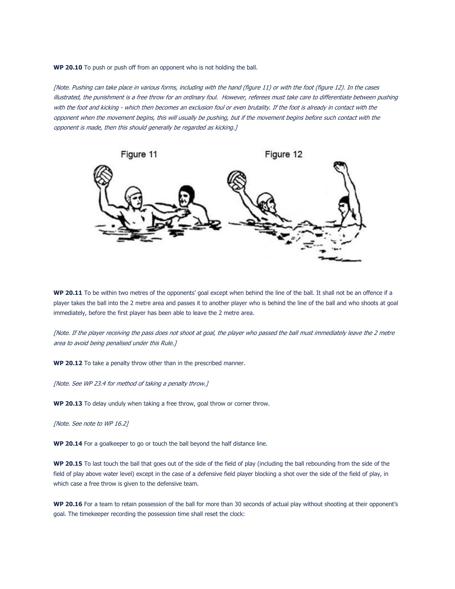**WP 20.10** To push or push off from an opponent who is not holding the ball.

[Note. Pushing can take place in various forms, including with the hand (figure 11) or with the foot (figure 12). In the cases illustrated, the punishment is a free throw for an ordinary foul. However, referees must take care to differentiate between pushing with the foot and kicking - which then becomes an exclusion foul or even brutality. If the foot is already in contact with the opponent when the movement begins, this will usually be pushing, but if the movement begins before such contact with the opponent is made, then this should generally be regarded as kicking.]



WP 20.11 To be within two metres of the opponents' goal except when behind the line of the ball. It shall not be an offence if a player takes the ball into the 2 metre area and passes it to another player who is behind the line of the ball and who shoots at goal immediately, before the first player has been able to leave the 2 metre area.

[Note. If the player receiving the pass does not shoot at goal, the player who passed the ball must immediately leave the 2 metre area to avoid being penalised under this Rule.]

**WP 20.12** To take a penalty throw other than in the prescribed manner.

[Note. See WP 23.4 for method of taking a penalty throw.]

**WP 20.13** To delay unduly when taking a free throw, goal throw or corner throw.

[Note. See note to WP 16.2]

**WP 20.14** For a goalkeeper to go or touch the ball beyond the half distance line.

**WP 20.15** To last touch the ball that goes out of the side of the field of play (including the ball rebounding from the side of the field of play above water level) except in the case of a defensive field player blocking a shot over the side of the field of play, in which case a free throw is given to the defensive team.

WP 20.16 For a team to retain possession of the ball for more than 30 seconds of actual play without shooting at their opponent's goal. The timekeeper recording the possession time shall reset the clock: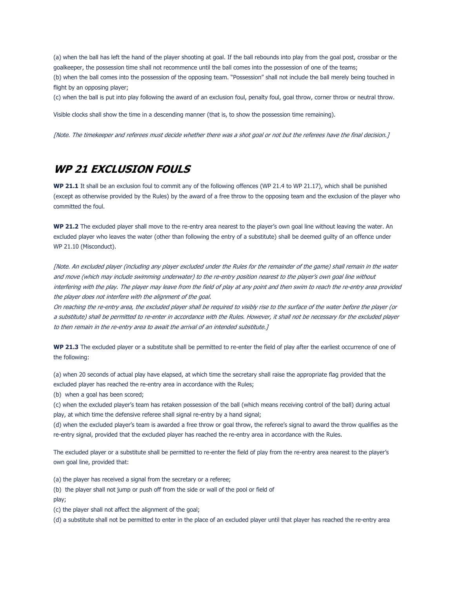(a) when the ball has left the hand of the player shooting at goal. If the ball rebounds into play from the goal post, crossbar or the goalkeeper, the possession time shall not recommence until the ball comes into the possession of one of the teams;

(b) when the ball comes into the possession of the opposing team. "Possession" shall not include the ball merely being touched in flight by an opposing player;

(c) when the ball is put into play following the award of an exclusion foul, penalty foul, goal throw, corner throw or neutral throw.

Visible clocks shall show the time in a descending manner (that is, to show the possession time remaining).

[Note. The timekeeper and referees must decide whether there was a shot goal or not but the referees have the final decision.]

### <span id="page-17-0"></span>**WP 21 EXCLUSION FOULS**

**WP 21.1** It shall be an exclusion foul to commit any of the following offences (WP 21.4 to WP 21.17), which shall be punished (except as otherwise provided by the Rules) by the award of a free throw to the opposing team and the exclusion of the player who committed the foul.

**WP 21.2** The excluded player shall move to the re-entry area nearest to the player's own goal line without leaving the water. An excluded player who leaves the water (other than following the entry of a substitute) shall be deemed guilty of an offence under WP 21.10 (Misconduct).

[Note. An excluded player (including any player excluded under the Rules for the remainder of the game) shall remain in the water and move (which may include swimming underwater) to the re-entry position nearest to the player's own goal line without interfering with the play. The player may leave from the field of play at any point and then swim to reach the re-entry area provided the player does not interfere with the alignment of the goal.

On reaching the re-entry area, the excluded player shall be required to visibly rise to the surface of the water before the player (or a substitute) shall be permitted to re-enter in accordance with the Rules. However, it shall not be necessary for the excluded player to then remain in the re-entry area to await the arrival of an intended substitute.]

**WP 21.3** The excluded player or a substitute shall be permitted to re-enter the field of play after the earliest occurrence of one of the following:

(a) when 20 seconds of actual play have elapsed, at which time the secretary shall raise the appropriate flag provided that the excluded player has reached the re-entry area in accordance with the Rules;

(b) when a goal has been scored;

(c) when the excluded player's team has retaken possession of the ball (which means receiving control of the ball) during actual play, at which time the defensive referee shall signal re-entry by a hand signal;

(d) when the excluded player's team is awarded a free throw or goal throw, the referee's signal to award the throw qualifies as the re-entry signal, provided that the excluded player has reached the re-entry area in accordance with the Rules.

The excluded player or a substitute shall be permitted to re-enter the field of play from the re-entry area nearest to the player's own goal line, provided that:

- (a) the player has received a signal from the secretary or a referee;
- (b) the player shall not jump or push off from the side or wall of the pool or field of play;

(c) the player shall not affect the alignment of the goal;

(d) a substitute shall not be permitted to enter in the place of an excluded player until that player has reached the re-entry area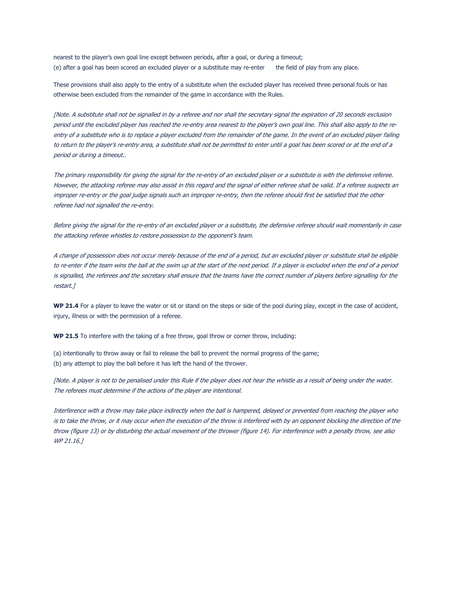nearest to the player's own goal line except between periods, after a goal, or during a timeout; (e) after a goal has been scored an excluded player or a substitute may re-enter the field of play from any place.

These provisions shall also apply to the entry of a substitute when the excluded player has received three personal fouls or has otherwise been excluded from the remainder of the game in accordance with the Rules.

[Note. A substitute shall not be signalled in by a referee and nor shall the secretary signal the expiration of 20 seconds exclusion period until the excluded player has reached the re-entry area nearest to the player's own goal line. This shall also apply to the reentry of a substitute who is to replace a player excluded from the remainder of the game. In the event of an excluded player failing to return to the player's re-entry area, a substitute shall not be permitted to enter until a goal has been scored or at the end of a period or during a timeout..

The primary responsibility for giving the signal for the re-entry of an excluded player or a substitute is with the defensive referee. However, the attacking referee may also assist in this regard and the signal of either referee shall be valid. If a referee suspects an improper re-entry or the goal judge signals such an improper re-entry, then the referee should first be satisfied that the other referee had not signalled the re-entry.

Before giving the signal for the re-entry of an excluded player or a substitute, the defensive referee should wait momentarily in case the attacking referee whistles to restore possession to the opponent's team.

A change of possession does not occur merely because of the end of a period, but an excluded player or substitute shall be eligible to re-enter if the team wins the ball at the swim up at the start of the next period. If a player is excluded when the end of a period is signalled, the referees and the secretary shall ensure that the teams have the correct number of players before signalling for the restart.]

**WP 21.4** For a player to leave the water or sit or stand on the steps or side of the pool during play, except in the case of accident, injury, illness or with the permission of a referee.

**WP 21.5** To interfere with the taking of a free throw, goal throw or corner throw, including:

(a) intentionally to throw away or fail to release the ball to prevent the normal progress of the game; (b) any attempt to play the ball before it has left the hand of the thrower.

[Note. A player is not to be penalised under this Rule if the player does not hear the whistle as a result of being under the water. The referees must determine if the actions of the player are intentional.

Interference with a throw may take place indirectly when the ball is hampered, delayed or prevented from reaching the player who is to take the throw, or it may occur when the execution of the throw is interfered with by an opponent blocking the direction of the throw (figure 13) or by disturbing the actual movement of the thrower (figure 14). For interference with a penalty throw, see also WP 21.16.]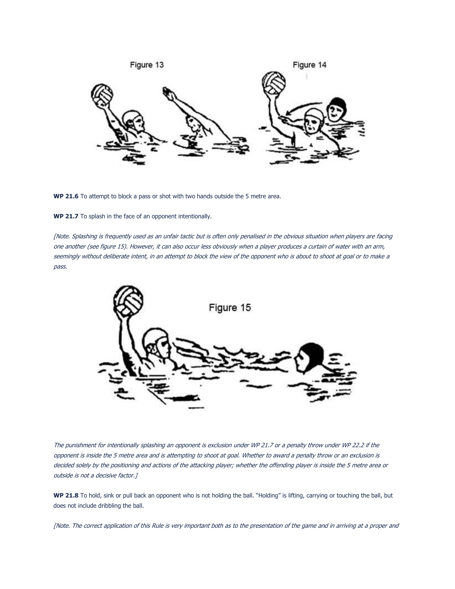

**WP 21.6** To attempt to block a pass or shot with two hands outside the 5 metre area.

**WP 21.7** To splash in the face of an opponent intentionally.

[Note. Splashing is frequently used as an unfair tactic but is often only penalised in the obvious situation when players are facing one another (see figure 15). However, it can also occur less obviously when a player produces a curtain of water with an arm, seemingly without deliberate intent, in an attempt to block the view of the opponent who is about to shoot at goal or to make <sup>a</sup> pass.



The punishment for intentionally splashing an opponent is exclusion under WP 21.7 or a penalty throw under WP 22.2 if the opponent is inside the 5 metre area and is attempting to shoot at goal. Whether to award a penalty throw or an exclusion is decided solely by the positioning and actions of the attacking player; whether the offending player is inside the 5 metre area or outside is not a decisive factor.]

**WP 21.8** To hold, sink or pull back an opponent who is not holding the ball. "Holding" is lifting, carrying or touching the ball, but does not include dribbling the ball.

[Note. The correct application of this Rule is very important both as to the presentation of the game and in arriving at a proper and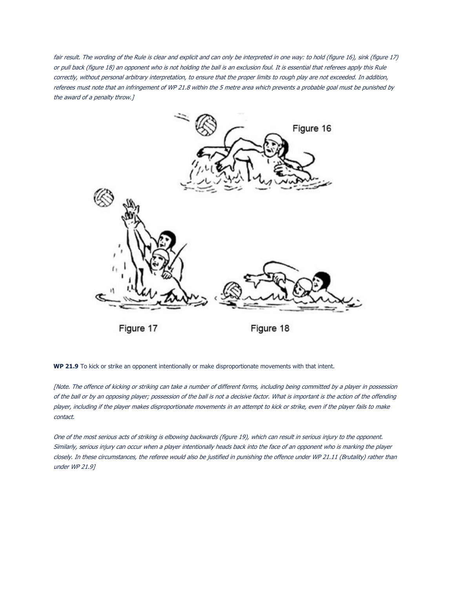fair result. The wording of the Rule is clear and explicit and can only be interpreted in one way: to hold (figure 16), sink (figure 17) or pull back (figure 18) an opponent who is not holding the ball is an exclusion foul. It is essential that referees apply this Rule correctly, without personal arbitrary interpretation, to ensure that the proper limits to rough play are not exceeded. In addition, referees must note that an infringement of WP 21.8 within the 5 metre area which prevents a probable goal must be punished by the award of a penalty throw.]



**WP 21.9** To kick or strike an opponent intentionally or make disproportionate movements with that intent.

[Note. The offence of kicking or striking can take a number of different forms, including being committed by a player in possession of the ball or by an opposing player; possession of the ball is not a decisive factor. What is important is the action of the offending player, including if the player makes disproportionate movements in an attempt to kick or strike, even if the player fails to make contact.

One of the most serious acts of striking is elbowing backwards (figure 19), which can result in serious injury to the opponent. Similarly, serious injury can occur when a player intentionally heads back into the face of an opponent who is marking the player closely. In these circumstances, the referee would also be justified in punishing the offence under WP 21.11 (Brutality) rather than under WP 21.9]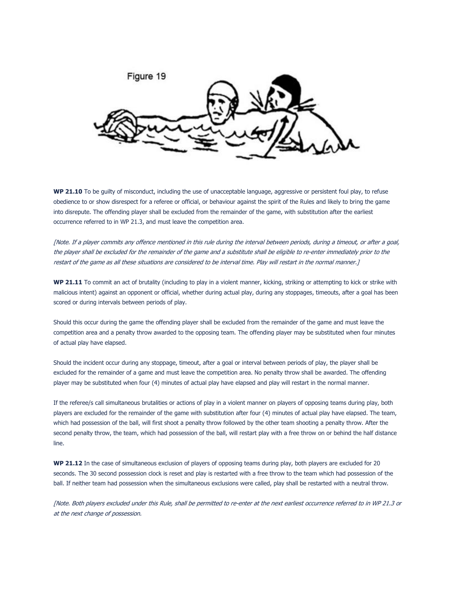

**WP 21.10** To be guilty of misconduct, including the use of unacceptable language, aggressive or persistent foul play, to refuse obedience to or show disrespect for a referee or official, or behaviour against the spirit of the Rules and likely to bring the game into disrepute. The offending player shall be excluded from the remainder of the game, with substitution after the earliest occurrence referred to in WP 21.3, and must leave the competition area.

[Note. If a player commits any offence mentioned in this rule during the interval between periods, during a timeout, or after a goal, the player shall be excluded for the remainder of the game and a substitute shall be eligible to re-enter immediately prior to the restart of the game as all these situations are considered to be interval time. Play will restart in the normal manner.]

**WP 21.11** To commit an act of brutality (including to play in a violent manner, kicking, striking or attempting to kick or strike with malicious intent) against an opponent or official, whether during actual play, during any stoppages, timeouts, after a goal has been scored or during intervals between periods of play.

Should this occur during the game the offending player shall be excluded from the remainder of the game and must leave the competition area and a penalty throw awarded to the opposing team. The offending player may be substituted when four minutes of actual play have elapsed.

Should the incident occur during any stoppage, timeout, after a goal or interval between periods of play, the player shall be excluded for the remainder of a game and must leave the competition area. No penalty throw shall be awarded. The offending player may be substituted when four (4) minutes of actual play have elapsed and play will restart in the normal manner.

If the referee/s call simultaneous brutalities or actions of play in a violent manner on players of opposing teams during play, both players are excluded for the remainder of the game with substitution after four (4) minutes of actual play have elapsed. The team, which had possession of the ball, will first shoot a penalty throw followed by the other team shooting a penalty throw. After the second penalty throw, the team, which had possession of the ball, will restart play with a free throw on or behind the half distance line.

**WP 21.12** In the case of simultaneous exclusion of players of opposing teams during play, both players are excluded for 20 seconds. The 30 second possession clock is reset and play is restarted with a free throw to the team which had possession of the ball. If neither team had possession when the simultaneous exclusions were called, play shall be restarted with a neutral throw.

[Note. Both players excluded under this Rule, shall be permitted to re-enter at the next earliest occurrence referred to in WP 21.3 or at the next change of possession.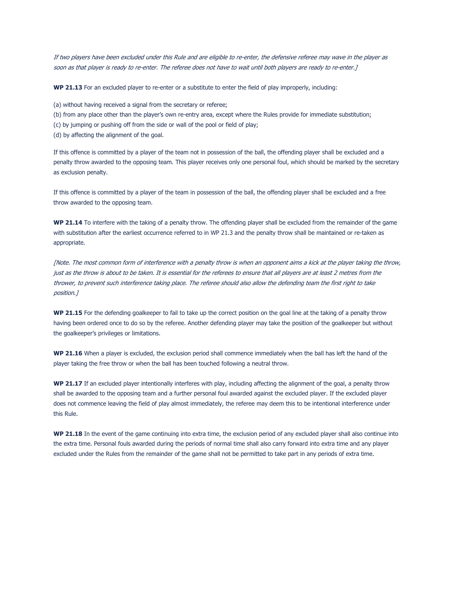If two players have been excluded under this Rule and are eligible to re-enter, the defensive referee may wave in the player as soon as that player is ready to re-enter. The referee does not have to wait until both players are ready to re-enter.]

**WP 21.13** For an excluded player to re-enter or a substitute to enter the field of play improperly, including:

(a) without having received a signal from the secretary or referee;

- (b) from any place other than the player's own re-entry area, except where the Rules provide for immediate substitution;
- (c) by jumping or pushing off from the side or wall of the pool or field of play;
- (d) by affecting the alignment of the goal.

If this offence is committed by a player of the team not in possession of the ball, the offending player shall be excluded and a penalty throw awarded to the opposing team. This player receives only one personal foul, which should be marked by the secretary as exclusion penalty.

If this offence is committed by a player of the team in possession of the ball, the offending player shall be excluded and a free throw awarded to the opposing team.

**WP 21.14** To interfere with the taking of a penalty throw. The offending player shall be excluded from the remainder of the game with substitution after the earliest occurrence referred to in WP 21.3 and the penalty throw shall be maintained or re-taken as appropriate.

[Note. The most common form of interference with a penalty throw is when an opponent aims a kick at the player taking the throw, just as the throw is about to be taken. It is essential for the referees to ensure that all players are at least 2 metres from the thrower, to prevent such interference taking place. The referee should also allow the defending team the first right to take position.]

**WP 21.15** For the defending goalkeeper to fail to take up the correct position on the goal line at the taking of a penalty throw having been ordered once to do so by the referee. Another defending player may take the position of the goalkeeper but without the goalkeeper's privileges or limitations.

**WP 21.16** When a player is excluded, the exclusion period shall commence immediately when the ball has left the hand of the player taking the free throw or when the ball has been touched following a neutral throw.

**WP 21.17** If an excluded player intentionally interferes with play, including affecting the alignment of the goal, a penalty throw shall be awarded to the opposing team and a further personal foul awarded against the excluded player. If the excluded player does not commence leaving the field of play almost immediately, the referee may deem this to be intentional interference under this Rule.

**WP 21.18** In the event of the game continuing into extra time, the exclusion period of any excluded player shall also continue into the extra time. Personal fouls awarded during the periods of normal time shall also carry forward into extra time and any player excluded under the Rules from the remainder of the game shall not be permitted to take part in any periods of extra time.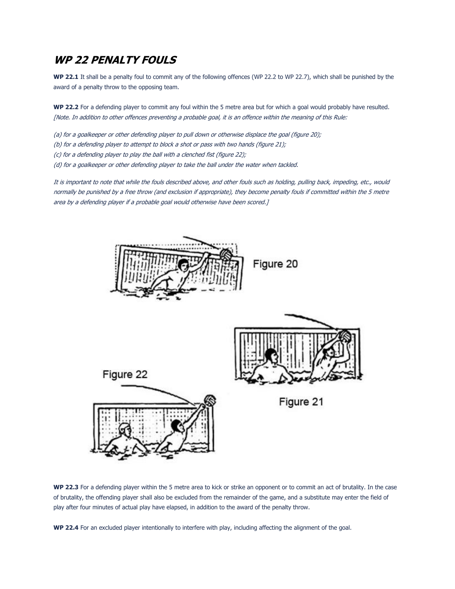# <span id="page-23-0"></span>**WP 22 PENALTY FOULS**

**WP 22.1** It shall be a penalty foul to commit any of the following offences (WP 22.2 to WP 22.7), which shall be punished by the award of a penalty throw to the opposing team.

**WP 22.2** For a defending player to commit any foul within the 5 metre area but for which a goal would probably have resulted. [Note. In addition to other offences preventing a probable goal, it is an offence within the meaning of this Rule:

(a) for a goalkeeper or other defending player to pull down or otherwise displace the goal (figure 20);

(b) for a defending player to attempt to block a shot or pass with two hands (figure 21);

(c) for a defending player to play the ball with a clenched fist (figure 22);

(d) for a goalkeeper or other defending player to take the ball under the water when tackled.

It is important to note that while the fouls described above, and other fouls such as holding, pulling back, impeding, etc., would normally be punished by a free throw (and exclusion if appropriate), they become penalty fouls if committed within the 5 metre area by a defending player if a probable goal would otherwise have been scored.]



**WP 22.3** For a defending player within the 5 metre area to kick or strike an opponent or to commit an act of brutality. In the case of brutality, the offending player shall also be excluded from the remainder of the game, and a substitute may enter the field of play after four minutes of actual play have elapsed, in addition to the award of the penalty throw.

**WP 22.4** For an excluded player intentionally to interfere with play, including affecting the alignment of the goal.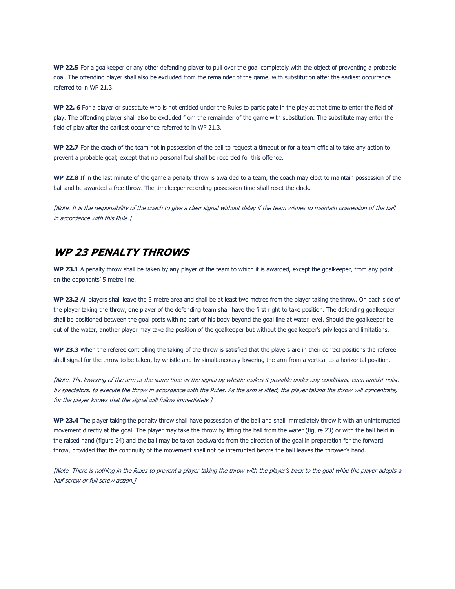**WP 22.5** For a goalkeeper or any other defending player to pull over the goal completely with the object of preventing a probable goal. The offending player shall also be excluded from the remainder of the game, with substitution after the earliest occurrence referred to in WP 21.3.

**WP 22. 6** For a player or substitute who is not entitled under the Rules to participate in the play at that time to enter the field of play. The offending player shall also be excluded from the remainder of the game with substitution. The substitute may enter the field of play after the earliest occurrence referred to in WP 21.3.

**WP 22.7** For the coach of the team not in possession of the ball to request a timeout or for a team official to take any action to prevent a probable goal; except that no personal foul shall be recorded for this offence.

**WP 22.8** If in the last minute of the game a penalty throw is awarded to a team, the coach may elect to maintain possession of the ball and be awarded a free throw. The timekeeper recording possession time shall reset the clock.

[Note. It is the responsibility of the coach to give a clear signal without delay if the team wishes to maintain possession of the ball in accordance with this Rule.]

### <span id="page-24-0"></span>**WP 23 PENALTY THROWS**

**WP 23.1** A penalty throw shall be taken by any player of the team to which it is awarded, except the goalkeeper, from any point on the opponents' 5 metre line.

**WP 23.2** All players shall leave the 5 metre area and shall be at least two metres from the player taking the throw. On each side of the player taking the throw, one player of the defending team shall have the first right to take position. The defending goalkeeper shall be positioned between the goal posts with no part of his body beyond the goal line at water level. Should the goalkeeper be out of the water, another player may take the position of the goalkeeper but without the goalkeeper's privileges and limitations.

**WP 23.3** When the referee controlling the taking of the throw is satisfied that the players are in their correct positions the referee shall signal for the throw to be taken, by whistle and by simultaneously lowering the arm from a vertical to a horizontal position.

[Note. The lowering of the arm at the same time as the signal by whistle makes it possible under any conditions, even amidst noise by spectators, to execute the throw in accordance with the Rules. As the arm is lifted, the player taking the throw will concentrate, for the player knows that the signal will follow immediately.]

**WP 23.4** The player taking the penalty throw shall have possession of the ball and shall immediately throw it with an uninterrupted movement directly at the goal. The player may take the throw by lifting the ball from the water (figure 23) or with the ball held in the raised hand (figure 24) and the ball may be taken backwards from the direction of the goal in preparation for the forward throw, provided that the continuity of the movement shall not be interrupted before the ball leaves the thrower's hand.

[Note. There is nothing in the Rules to prevent a player taking the throw with the player's back to the goal while the player adopts a half screw or full screw action.]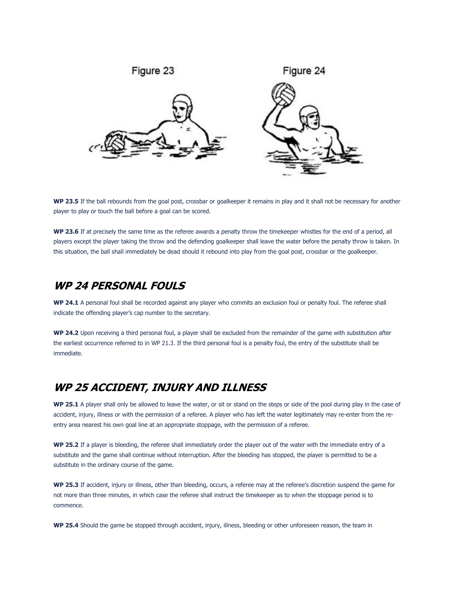

**WP 23.5** If the ball rebounds from the goal post, crossbar or goalkeeper it remains in play and it shall not be necessary for another player to play or touch the ball before a goal can be scored.

**WP 23.6** If at precisely the same time as the referee awards a penalty throw the timekeeper whistles for the end of a period, all players except the player taking the throw and the defending goalkeeper shall leave the water before the penalty throw is taken. In this situation, the ball shall immediately be dead should it rebound into play from the goal post, crossbar or the goalkeeper.

# <span id="page-25-0"></span>**WP 24 PERSONAL FOULS**

**WP 24.1** A personal foul shall be recorded against any player who commits an exclusion foul or penalty foul. The referee shall indicate the offending player's cap number to the secretary.

**WP 24.2** Upon receiving a third personal foul, a player shall be excluded from the remainder of the game with substitution after the earliest occurrence referred to in WP 21.3. If the third personal foul is a penalty foul, the entry of the substitute shall be immediate.

### <span id="page-25-1"></span>**WP 25 ACCIDENT, INJURY AND ILLNESS**

**WP 25.1** A player shall only be allowed to leave the water, or sit or stand on the steps or side of the pool during play in the case of accident, injury, illness or with the permission of a referee. A player who has left the water legitimately may re-enter from the reentry area nearest his own goal line at an appropriate stoppage, with the permission of a referee.

**WP 25.2** If a player is bleeding, the referee shall immediately order the player out of the water with the immediate entry of a substitute and the game shall continue without interruption. After the bleeding has stopped, the player is permitted to be a substitute in the ordinary course of the game.

**WP 25.3** If accident, injury or illness, other than bleeding, occurs, a referee may at the referee's discretion suspend the game for not more than three minutes, in which case the referee shall instruct the timekeeper as to when the stoppage period is to commence.

**WP 25.4** Should the game be stopped through accident, injury, illness, bleeding or other unforeseen reason, the team in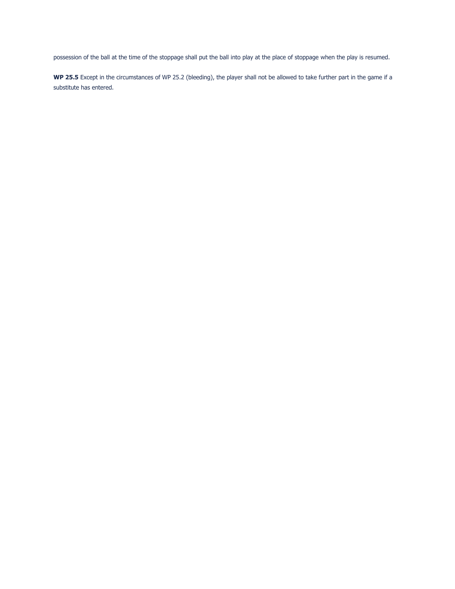possession of the ball at the time of the stoppage shall put the ball into play at the place of stoppage when the play is resumed.

**WP 25.5** Except in the circumstances of WP 25.2 (bleeding), the player shall not be allowed to take further part in the game if a substitute has entered.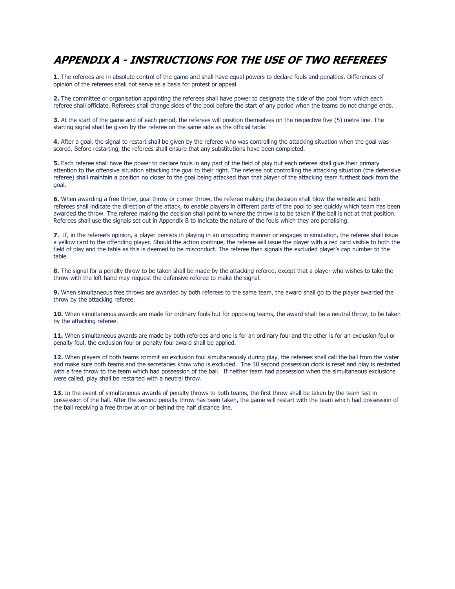# <span id="page-27-0"></span>**APPENDIX A - INSTRUCTIONS FOR THE USE OF TWO REFEREES**

**1.** The referees are in absolute control of the game and shall have equal powers to declare fouls and penalties. Differences of opinion of the referees shall not serve as a basis for protest or appeal.

**2.** The committee or organisation appointing the referees shall have power to designate the side of the pool from which each referee shall officiate. Referees shall change sides of the pool before the start of any period when the teams do not change ends.

**3.** At the start of the game and of each period, the referees will position themselves on the respective five (5) metre line. The starting signal shall be given by the referee on the same side as the official table.

**4.** After a goal, the signal to restart shall be given by the referee who was controlling the attacking situation when the goal was scored. Before restarting, the referees shall ensure that any substitutions have been completed.

**5.** Each referee shall have the power to declare fouls in any part of the field of play but each referee shall give their primary attention to the offensive situation attacking the goal to their right. The referee not controlling the attacking situation (the defensive referee) shall maintain a position no closer to the goal being attacked than that player of the attacking team furthest back from the goal.

**6.** When awarding a free throw, goal throw or corner throw, the referee making the decision shall blow the whistle and both referees shall indicate the direction of the attack, to enable players in different parts of the pool to see quickly which team has been awarded the throw. The referee making the decision shall point to where the throw is to be taken if the ball is not at that position. Referees shall use the signals set out in Appendix B to indicate the nature of the fouls which they are penalising.

**7.** If, in the referee's opinion, a player persists in playing in an unsporting manner or engages in simulation, the referee shall issue a yellow card to the offending player. Should the action continue, the referee will issue the player with a red card visible to both the field of play and the table as this is deemed to be misconduct. The referee then signals the excluded player's cap number to the table.

**8.** The signal for a penalty throw to be taken shall be made by the attacking referee, except that a player who wishes to take the throw with the left hand may request the defensive referee to make the signal.

**9.** When simultaneous free throws are awarded by both referees to the same team, the award shall go to the player awarded the throw by the attacking referee.

**10.** When simultaneous awards are made for ordinary fouls but for opposing teams, the award shall be a neutral throw, to be taken by the attacking referee.

**11.** When simultaneous awards are made by both referees and one is for an ordinary foul and the other is for an exclusion foul or penalty foul, the exclusion foul or penalty foul award shall be applied.

**12.** When players of both teams commit an exclusion foul simultaneously during play, the referees shall call the ball from the water and make sure both teams and the secretaries know who is excluded. The 30 second possession clock is reset and play is restarted with a free throw to the team which had possession of the ball. If neither team had possession when the simultaneous exclusions were called, play shall be restarted with a neutral throw.

**13.** In the event of simultaneous awards of penalty throws to both teams, the first throw shall be taken by the team last in possession of the ball. After the second penalty throw has been taken, the game will restart with the team which had possession of the ball receiving a free throw at on or behind the half distance line.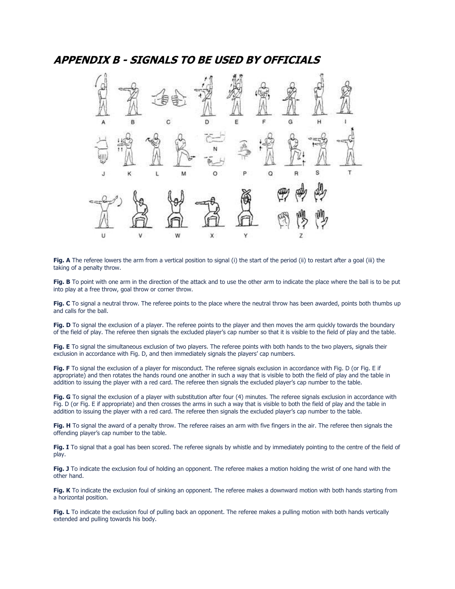#### <span id="page-28-0"></span>**APPENDIX B - SIGNALS TO BE USED BY OFFICIALS**



**Fig. A** The referee lowers the arm from a vertical position to signal (i) the start of the period (ii) to restart after a goal (iii) the taking of a penalty throw.

**Fig. B** To point with one arm in the direction of the attack and to use the other arm to indicate the place where the ball is to be put into play at a free throw, goal throw or corner throw.

Fig. C To signal a neutral throw. The referee points to the place where the neutral throw has been awarded, points both thumbs up and calls for the ball.

**Fig. D** To signal the exclusion of a player. The referee points to the player and then moves the arm quickly towards the boundary of the field of play. The referee then signals the excluded player's cap number so that it is visible to the field of play and the table.

**Fig. E** To signal the simultaneous exclusion of two players. The referee points with both hands to the two players, signals their exclusion in accordance with Fig. D, and then immediately signals the players' cap numbers.

**Fig. F** To signal the exclusion of a player for misconduct. The referee signals exclusion in accordance with Fig. D (or Fig. E if appropriate) and then rotates the hands round one another in such a way that is visible to both the field of play and the table in addition to issuing the player with a red card. The referee then signals the excluded player's cap number to the table.

**Fig. G** To signal the exclusion of a player with substitution after four (4) minutes. The referee signals exclusion in accordance with Fig. D (or Fig. E if appropriate) and then crosses the arms in such a way that is visible to both the field of play and the table in addition to issuing the player with a red card. The referee then signals the excluded player's cap number to the table.

**Fig. H** To signal the award of a penalty throw. The referee raises an arm with five fingers in the air. The referee then signals the offending player's cap number to the table.

**Fig. I** To signal that a goal has been scored. The referee signals by whistle and by immediately pointing to the centre of the field of play.

**Fig. J** To indicate the exclusion foul of holding an opponent. The referee makes a motion holding the wrist of one hand with the other hand.

**Fig. K** To indicate the exclusion foul of sinking an opponent. The referee makes a downward motion with both hands starting from a horizontal position.

**Fig. L** To indicate the exclusion foul of pulling back an opponent. The referee makes a pulling motion with both hands vertically extended and pulling towards his body.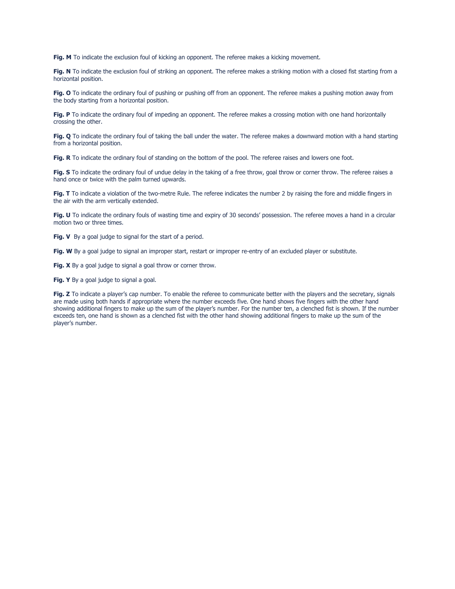Fig. M To indicate the exclusion foul of kicking an opponent. The referee makes a kicking movement.

**Fig. N** To indicate the exclusion foul of striking an opponent. The referee makes a striking motion with a closed fist starting from a horizontal position.

Fig. O To indicate the ordinary foul of pushing or pushing off from an opponent. The referee makes a pushing motion away from the body starting from a horizontal position.

Fig. P To indicate the ordinary foul of impeding an opponent. The referee makes a crossing motion with one hand horizontally crossing the other.

**Fig. Q** To indicate the ordinary foul of taking the ball under the water. The referee makes a downward motion with a hand starting from a horizontal position.

Fig. R To indicate the ordinary foul of standing on the bottom of the pool. The referee raises and lowers one foot.

**Fig. S** To indicate the ordinary foul of undue delay in the taking of a free throw, goal throw or corner throw. The referee raises a hand once or twice with the palm turned upwards.

**Fig. T** To indicate a violation of the two-metre Rule. The referee indicates the number 2 by raising the fore and middle fingers in the air with the arm vertically extended.

**Fig. U** To indicate the ordinary fouls of wasting time and expiry of 30 seconds' possession. The referee moves a hand in a circular motion two or three times.

**Fig. V** By a goal judge to signal for the start of a period.

**Fig. W** By a goal judge to signal an improper start, restart or improper re-entry of an excluded player or substitute.

**Fig. X** By a goal judge to signal a goal throw or corner throw.

**Fig. Y** By a goal judge to signal a goal.

**Fig. Z** To indicate a player's cap number. To enable the referee to communicate better with the players and the secretary, signals are made using both hands if appropriate where the number exceeds five. One hand shows five fingers with the other hand showing additional fingers to make up the sum of the player's number. For the number ten, a clenched fist is shown. If the number exceeds ten, one hand is shown as a clenched fist with the other hand showing additional fingers to make up the sum of the player's number.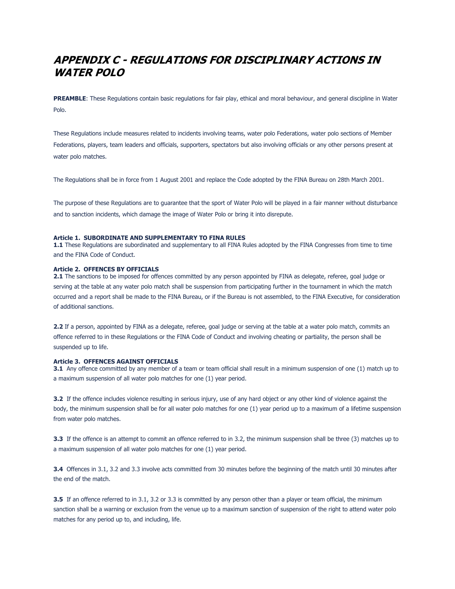# <span id="page-30-0"></span>**APPENDIX C - REGULATIONS FOR DISCIPLINARY ACTIONS IN WATER POLO**

**PREAMBLE**: These Regulations contain basic regulations for fair play, ethical and moral behaviour, and general discipline in Water Polo.

These Regulations include measures related to incidents involving teams, water polo Federations, water polo sections of Member Federations, players, team leaders and officials, supporters, spectators but also involving officials or any other persons present at water polo matches.

The Regulations shall be in force from 1 August 2001 and replace the Code adopted by the FINA Bureau on 28th March 2001.

The purpose of these Regulations are to guarantee that the sport of Water Polo will be played in a fair manner without disturbance and to sanction incidents, which damage the image of Water Polo or bring it into disrepute.

#### **Article 1. SUBORDINATE AND SUPPLEMENTARY TO FINA RULES**

**1.1** These Regulations are subordinated and supplementary to all FINA Rules adopted by the FINA Congresses from time to time and the FINA Code of Conduct.

#### **Article 2. OFFENCES BY OFFICIALS**

**2.1** The sanctions to be imposed for offences committed by any person appointed by FINA as delegate, referee, goal judge or serving at the table at any water polo match shall be suspension from participating further in the tournament in which the match occurred and a report shall be made to the FINA Bureau, or if the Bureau is not assembled, to the FINA Executive, for consideration of additional sanctions.

**2.2** If a person, appointed by FINA as a delegate, referee, goal judge or serving at the table at a water polo match, commits an offence referred to in these Regulations or the FINA Code of Conduct and involving cheating or partiality, the person shall be suspended up to life.

#### **Article 3. OFFENCES AGAINST OFFICIALS**

**3.1** Any offence committed by any member of a team or team official shall result in a minimum suspension of one (1) match up to a maximum suspension of all water polo matches for one (1) year period.

**3.2** If the offence includes violence resulting in serious injury, use of any hard object or any other kind of violence against the body, the minimum suspension shall be for all water polo matches for one (1) year period up to a maximum of a lifetime suspension from water polo matches.

**3.3** If the offence is an attempt to commit an offence referred to in 3.2, the minimum suspension shall be three (3) matches up to a maximum suspension of all water polo matches for one (1) year period.

**3.4** Offences in 3.1, 3.2 and 3.3 involve acts committed from 30 minutes before the beginning of the match until 30 minutes after the end of the match.

**3.5** If an offence referred to in 3.1, 3.2 or 3.3 is committed by any person other than a player or team official, the minimum sanction shall be a warning or exclusion from the venue up to a maximum sanction of suspension of the right to attend water polo matches for any period up to, and including, life.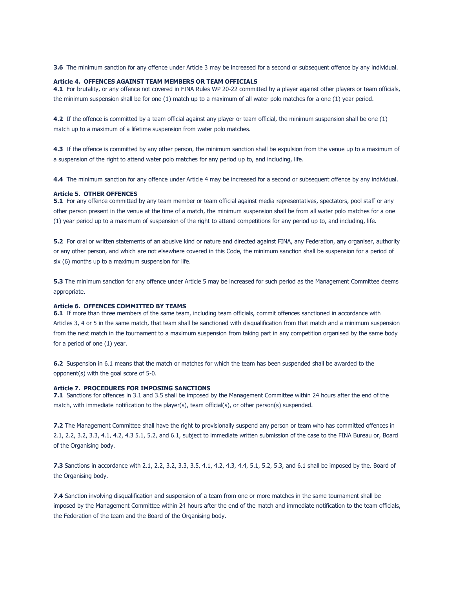**3.6** The minimum sanction for any offence under Article 3 may be increased for a second or subsequent offence by any individual.

#### **Article 4. OFFENCES AGAINST TEAM MEMBERS OR TEAM OFFICIALS**

**4.1** For brutality, or any offence not covered in FINA Rules WP 20-22 committed by a player against other players or team officials, the minimum suspension shall be for one (1) match up to a maximum of all water polo matches for a one (1) year period.

**4.2** If the offence is committed by a team official against any player or team official, the minimum suspension shall be one (1) match up to a maximum of a lifetime suspension from water polo matches.

**4.3** If the offence is committed by any other person, the minimum sanction shall be expulsion from the venue up to a maximum of a suspension of the right to attend water polo matches for any period up to, and including, life.

**4.4** The minimum sanction for any offence under Article 4 may be increased for a second or subsequent offence by any individual.

#### **Article 5. OTHER OFFENCES**

**5.1** For any offence committed by any team member or team official against media representatives, spectators, pool staff or any other person present in the venue at the time of a match, the minimum suspension shall be from all water polo matches for a one (1) year period up to a maximum of suspension of the right to attend competitions for any period up to, and including, life.

**5.2** For oral or written statements of an abusive kind or nature and directed against FINA, any Federation, any organiser, authority or any other person, and which are not elsewhere covered in this Code, the minimum sanction shall be suspension for a period of six (6) months up to a maximum suspension for life.

**5.3** The minimum sanction for any offence under Article 5 may be increased for such period as the Management Committee deems appropriate.

#### **Article 6. OFFENCES COMMITTED BY TEAMS**

**6.1** If more than three members of the same team, including team officials, commit offences sanctioned in accordance with Articles 3, 4 or 5 in the same match, that team shall be sanctioned with disqualification from that match and a minimum suspension from the next match in the tournament to a maximum suspension from taking part in any competition organised by the same body for a period of one (1) year.

**6.2** Suspension in 6.1 means that the match or matches for which the team has been suspended shall be awarded to the opponent(s) with the goal score of 5-0.

#### **Article 7. PROCEDURES FOR IMPOSING SANCTIONS**

**7.1** Sanctions for offences in 3.1 and 3.5 shall be imposed by the Management Committee within 24 hours after the end of the match, with immediate notification to the player(s), team official(s), or other person(s) suspended.

**7.2** The Management Committee shall have the right to provisionally suspend any person or team who has committed offences in 2.1, 2.2, 3.2, 3.3, 4.1, 4.2, 4.3 5.1, 5.2, and 6.1, subject to immediate written submission of the case to the FINA Bureau or, Board of the Organising body.

**7.3** Sanctions in accordance with 2.1, 2.2, 3.2, 3.3, 3.5, 4.1, 4.2, 4.3, 4.4, 5.1, 5.2, 5.3, and 6.1 shall be imposed by the. Board of the Organising body.

**7.4** Sanction involving disqualification and suspension of a team from one or more matches in the same tournament shall be imposed by the Management Committee within 24 hours after the end of the match and immediate notification to the team officials, the Federation of the team and the Board of the Organising body.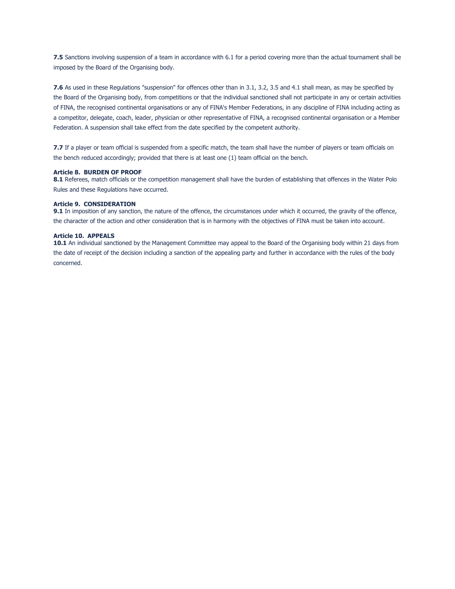**7.5** Sanctions involving suspension of a team in accordance with 6.1 for a period covering more than the actual tournament shall be imposed by the Board of the Organising body.

**7.6** As used in these Regulations "suspension" for offences other than in 3.1, 3.2, 3.5 and 4.1 shall mean, as may be specified by the Board of the Organising body, from competitions or that the individual sanctioned shall not participate in any or certain activities of FINA, the recognised continental organisations or any of FINA's Member Federations, in any discipline of FINA including acting as a competitor, delegate, coach, leader, physician or other representative of FINA, a recognised continental organisation or a Member Federation. A suspension shall take effect from the date specified by the competent authority.

**7.7** If a player or team official is suspended from a specific match, the team shall have the number of players or team officials on the bench reduced accordingly; provided that there is at least one (1) team official on the bench.

#### **Article 8. BURDEN OF PROOF**

**8.1** Referees, match officials or the competition management shall have the burden of establishing that offences in the Water Polo Rules and these Regulations have occurred.

#### **Article 9. CONSIDERATION**

**9.1** In imposition of any sanction, the nature of the offence, the circumstances under which it occurred, the gravity of the offence, the character of the action and other consideration that is in harmony with the objectives of FINA must be taken into account.

#### **Article 10. APPEALS**

10.1 An individual sanctioned by the Management Committee may appeal to the Board of the Organising body within 21 days from the date of receipt of the decision including a sanction of the appealing party and further in accordance with the rules of the body concerned.